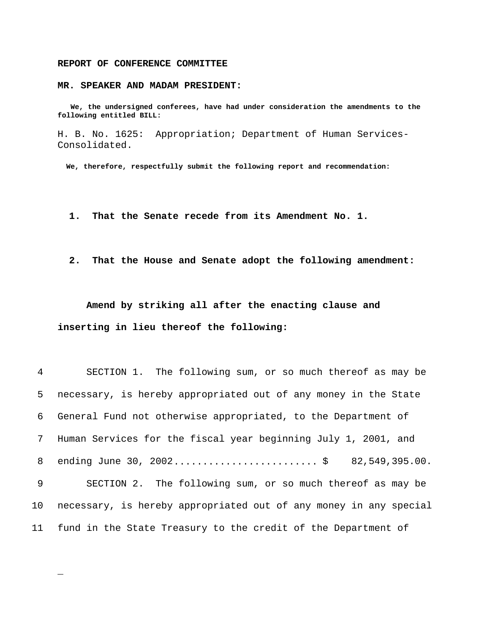## **REPORT OF CONFERENCE COMMITTEE**

\_

## **MR. SPEAKER AND MADAM PRESIDENT:**

 **We, the undersigned conferees, have had under consideration the amendments to the following entitled BILL:**

H. B. No. 1625: Appropriation; Department of Human Services-Consolidated.

 **We, therefore, respectfully submit the following report and recommendation:**

- **1. That the Senate recede from its Amendment No. 1.**
- **2. That the House and Senate adopt the following amendment:**

**Amend by striking all after the enacting clause and inserting in lieu thereof the following:**

| $4\overline{ }$ | SECTION 1. The following sum, or so much thereof as may be        |
|-----------------|-------------------------------------------------------------------|
| 5               | necessary, is hereby appropriated out of any money in the State   |
| 6               | General Fund not otherwise appropriated, to the Department of     |
| $7\degree$      | Human Services for the fiscal year beginning July 1, 2001, and    |
| 8               | 82,549,395.00.                                                    |
| 9               | SECTION 2. The following sum, or so much thereof as may be        |
| 10 <sub>1</sub> | necessary, is hereby appropriated out of any money in any special |
| 11              | fund in the State Treasury to the credit of the Department of     |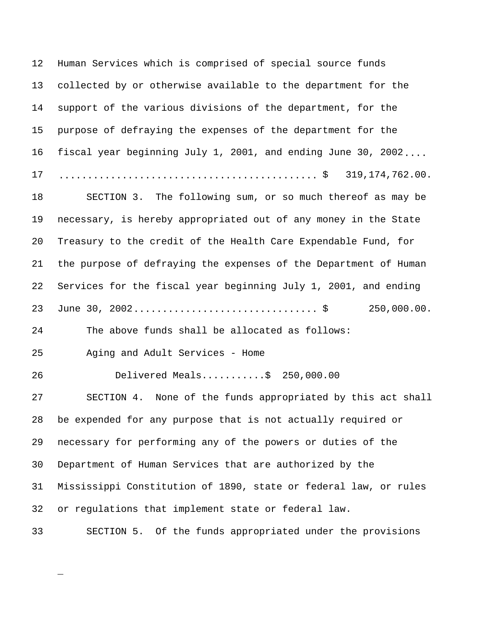Human Services which is comprised of special source funds collected by or otherwise available to the department for the support of the various divisions of the department, for the purpose of defraying the expenses of the department for the fiscal year beginning July 1, 2001, and ending June 30, 2002.... ............................................. \$ 319,174,762.00. 18 SECTION 3. The following sum, or so much thereof as may be necessary, is hereby appropriated out of any money in the State Treasury to the credit of the Health Care Expendable Fund, for the purpose of defraying the expenses of the Department of Human Services for the fiscal year beginning July 1, 2001, and ending June 30, 2002................................ \$ 250,000.00. The above funds shall be allocated as follows: Aging and Adult Services - Home Delivered Meals...........\$ 250,000.00 SECTION 4. None of the funds appropriated by this act shall be expended for any purpose that is not actually required or necessary for performing any of the powers or duties of the Department of Human Services that are authorized by the Mississippi Constitution of 1890, state or federal law, or rules or regulations that implement state or federal law. SECTION 5. Of the funds appropriated under the provisions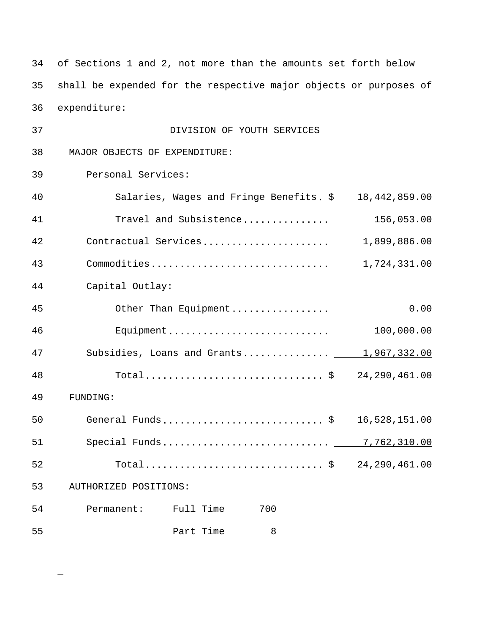34 of Sections 1 and 2, not more than the amounts set forth below 35 shall be expended for the respective major objects or purposes of 36 expenditure:

| 37 | DIVISION OF YOUTH SERVICES                            |               |
|----|-------------------------------------------------------|---------------|
| 38 | MAJOR OBJECTS OF EXPENDITURE:                         |               |
| 39 | Personal Services:                                    |               |
| 40 | Salaries, Wages and Fringe Benefits. \$ 18,442,859.00 |               |
| 41 | Travel and Subsistence                                | 156,053.00    |
| 42 | Contractual Services                                  | 1,899,886.00  |
| 43 | Commodities                                           | 1,724,331.00  |
| 44 | Capital Outlay:                                       |               |
| 45 | Other Than Equipment                                  | 0.00          |
| 46 | Equipment                                             | 100,000.00    |
| 47 | Subsidies, Loans and Grants 1,967,332.00              |               |
| 48 | Total\$ 24,290,461.00                                 |               |
| 49 | FUNDING:                                              |               |
| 50 | General Funds\$                                       | 16,528,151.00 |
| 51 | Special Funds 7,762,310.00                            |               |
| 52 | Total\$ 24,290,461.00                                 |               |
| 53 | AUTHORIZED POSITIONS:                                 |               |
| 54 | Permanent: Full Time<br>700                           |               |
| 55 | Part Time<br>8                                        |               |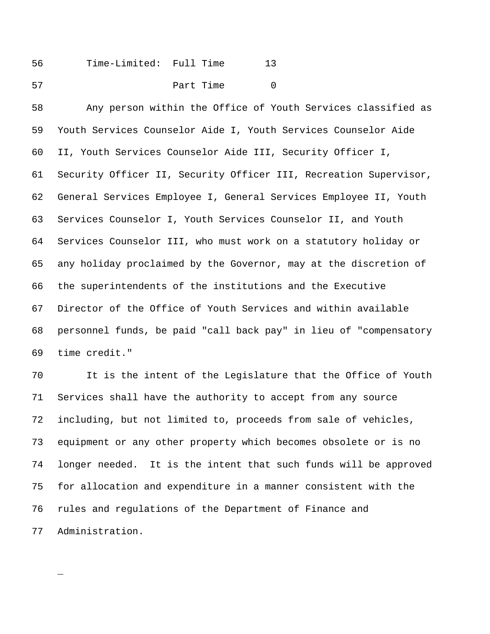| 56 | Time-Limited: Full Time |           |  |
|----|-------------------------|-----------|--|
| 57 |                         | Part Time |  |

 Any person within the Office of Youth Services classified as Youth Services Counselor Aide I, Youth Services Counselor Aide II, Youth Services Counselor Aide III, Security Officer I, Security Officer II, Security Officer III, Recreation Supervisor, General Services Employee I, General Services Employee II, Youth Services Counselor I, Youth Services Counselor II, and Youth Services Counselor III, who must work on a statutory holiday or any holiday proclaimed by the Governor, may at the discretion of the superintendents of the institutions and the Executive Director of the Office of Youth Services and within available personnel funds, be paid "call back pay" in lieu of "compensatory time credit."

 It is the intent of the Legislature that the Office of Youth Services shall have the authority to accept from any source including, but not limited to, proceeds from sale of vehicles, equipment or any other property which becomes obsolete or is no longer needed. It is the intent that such funds will be approved for allocation and expenditure in a manner consistent with the rules and regulations of the Department of Finance and Administration.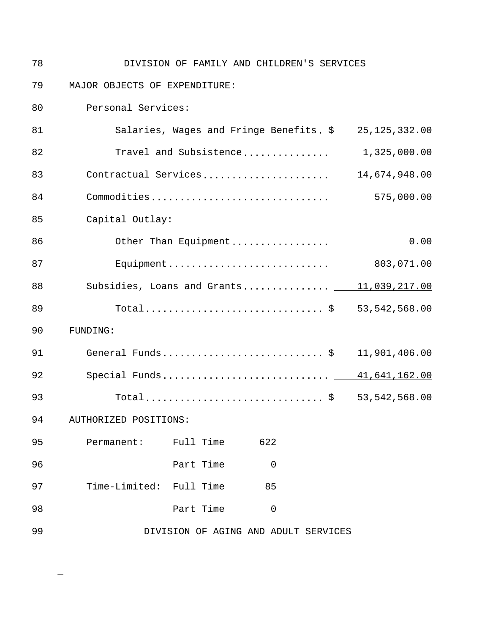| 78 | DIVISION OF FAMILY AND CHILDREN'S SERVICES            |                 |
|----|-------------------------------------------------------|-----------------|
| 79 | MAJOR OBJECTS OF EXPENDITURE:                         |                 |
| 80 | Personal Services:                                    |                 |
| 81 | Salaries, Wages and Fringe Benefits. \$ 25,125,332.00 |                 |
| 82 | Travel and Subsistence                                | 1,325,000.00    |
| 83 | Contractual Services                                  | 14,674,948.00   |
| 84 | Commodities                                           | 575,000.00      |
| 85 | Capital Outlay:                                       |                 |
| 86 | Other Than Equipment                                  | 0.00            |
| 87 | Equipment                                             | 803,071.00      |
| 88 | Subsidies, Loans and Grants 11,039,217.00             |                 |
| 89 | Total \$ 53,542,568.00                                |                 |
| 90 | FUNDING:                                              |                 |
| 91 | General Funds \$                                      | 11,901,406.00   |
| 92 |                                                       |                 |
| 93 |                                                       | 53, 542, 568.00 |
| 94 | AUTHORIZED POSITIONS:                                 |                 |
| 95 | 622<br>Permanent: Full Time                           |                 |
| 96 | Part Time<br>0                                        |                 |
| 97 | Time-Limited: Full Time<br>85                         |                 |
| 98 | Part Time<br>$\mathbf 0$                              |                 |
| 99 | DIVISION OF AGING AND ADULT SERVICES                  |                 |
|    |                                                       |                 |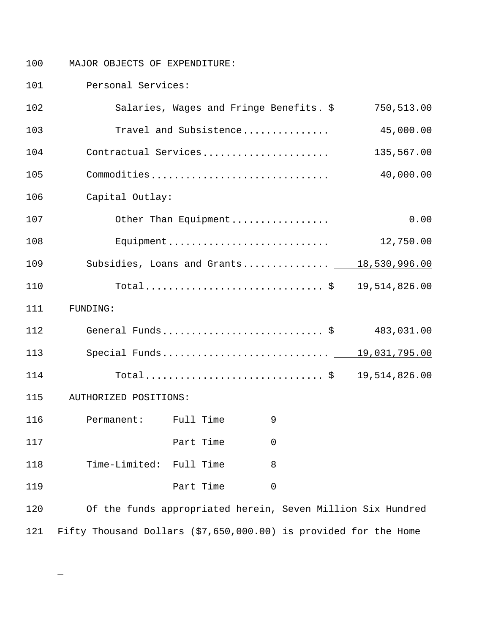100 MAJOR OBJECTS OF EXPENDITURE:

101 Personal Services:

| 102 |                                                                  |           | Salaries, Wages and Fringe Benefits. \$ | 750,513.00                                                  |
|-----|------------------------------------------------------------------|-----------|-----------------------------------------|-------------------------------------------------------------|
| 103 |                                                                  |           | Travel and Subsistence                  | 45,000.00                                                   |
| 104 |                                                                  |           | Contractual Services                    | 135,567.00                                                  |
| 105 |                                                                  |           | Commodities                             | 40,000.00                                                   |
| 106 | Capital Outlay:                                                  |           |                                         |                                                             |
| 107 |                                                                  |           | Other Than Equipment                    | 0.00                                                        |
| 108 |                                                                  |           | Equipment                               | 12,750.00                                                   |
| 109 |                                                                  |           |                                         | Subsidies, Loans and Grants 18,530,996.00                   |
| 110 |                                                                  |           |                                         | Total\$ 19,514,826.00                                       |
| 111 | FUNDING:                                                         |           |                                         |                                                             |
| 112 |                                                                  |           | General Funds\$                         | 483,031.00                                                  |
| 113 |                                                                  |           |                                         | Special Funds 19,031,795.00                                 |
| 114 |                                                                  |           |                                         | 19,514,826.00                                               |
| 115 | AUTHORIZED POSITIONS:                                            |           |                                         |                                                             |
| 116 | Permanent: Full Time                                             |           | 9                                       |                                                             |
| 117 |                                                                  | Part Time | $\mathsf 0$                             |                                                             |
| 118 | Time-Limited:                                                    | Full Time | 8                                       |                                                             |
| 119 |                                                                  | Part Time | 0                                       |                                                             |
| 120 |                                                                  |           |                                         | Of the funds appropriated herein, Seven Million Six Hundred |
| 121 | Fifty Thousand Dollars (\$7,650,000.00) is provided for the Home |           |                                         |                                                             |

 $\overline{\phantom{0}}$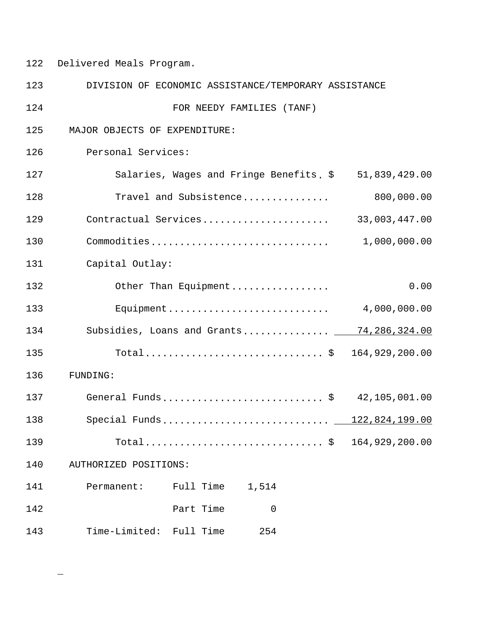122 Delivered Meals Program.

| 123 | DIVISION OF ECONOMIC ASSISTANCE/TEMPORARY ASSISTANCE |                                            |
|-----|------------------------------------------------------|--------------------------------------------|
| 124 | FOR NEEDY FAMILIES (TANF)                            |                                            |
| 125 | MAJOR OBJECTS OF EXPENDITURE:                        |                                            |
| 126 | Personal Services:                                   |                                            |
| 127 | Salaries, Wages and Fringe Benefits. \$              | 51,839,429.00                              |
| 128 | Travel and Subsistence                               | 800,000.00                                 |
| 129 | Contractual Services                                 | 33,003,447.00                              |
| 130 | Commodities                                          | 1,000,000.00                               |
| 131 | Capital Outlay:                                      |                                            |
| 132 | Other Than Equipment                                 | 0.00                                       |
| 133 | Equipment                                            | 4,000,000.00                               |
| 134 | Subsidies, Loans and Grants 74,286,324.00            |                                            |
| 135 | Total\$ 164,929,200.00                               |                                            |
| 136 | FUNDING:                                             |                                            |
| 137 | General Funds\$ 42,105,001.00                        |                                            |
| 138 | Special Funds 122,824,199.00                         |                                            |
| 139 |                                                      | $\ldots$ , $\frac{164,929,200.00}{\ldots}$ |
| 140 | AUTHORIZED POSITIONS:                                |                                            |
| 141 | 1,514<br>Permanent:<br>Full Time                     |                                            |
| 142 | Part Time<br>$\mathbf 0$                             |                                            |
| 143 | Time-Limited: Full Time<br>254                       |                                            |

 $\overline{\phantom{0}}$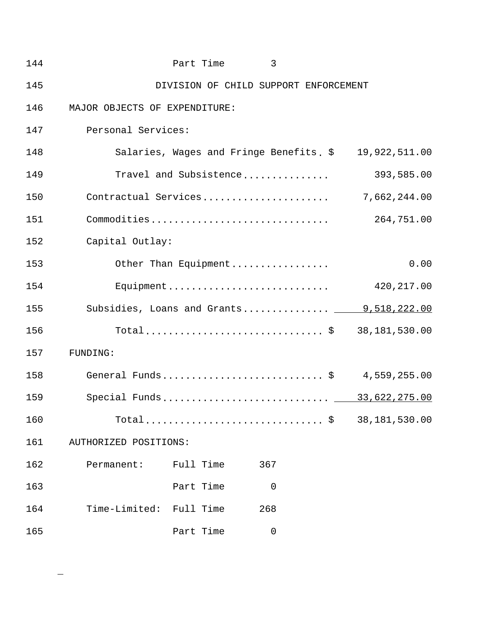| 144 |                               | Part Time | 3                                       |                                           |      |
|-----|-------------------------------|-----------|-----------------------------------------|-------------------------------------------|------|
| 145 |                               |           | DIVISION OF CHILD SUPPORT ENFORCEMENT   |                                           |      |
| 146 | MAJOR OBJECTS OF EXPENDITURE: |           |                                         |                                           |      |
| 147 | Personal Services:            |           |                                         |                                           |      |
| 148 |                               |           | Salaries, Wages and Fringe Benefits. \$ | 19,922,511.00                             |      |
| 149 |                               |           | Travel and Subsistence                  | 393,585.00                                |      |
| 150 | Contractual Services          |           |                                         | 7,662,244.00                              |      |
| 151 | Commodities                   |           |                                         | 264,751.00                                |      |
| 152 | Capital Outlay:               |           |                                         |                                           |      |
| 153 |                               |           | Other Than Equipment                    |                                           | 0.00 |
| 154 |                               |           | Equipment                               | 420, 217.00                               |      |
| 155 |                               |           |                                         | Subsidies, Loans and Grants 19,518,222.00 |      |
| 156 |                               |           |                                         | 38,181,530.00                             |      |
| 157 | <b>FUNDING:</b>               |           |                                         |                                           |      |
| 158 |                               |           |                                         | General Funds\$ 4,559,255.00              |      |
| 159 |                               |           |                                         | Special Funds 33,622,275.00               |      |
| 160 |                               |           | $Total$                                 | 38,181,530.00<br>\$                       |      |
| 161 | AUTHORIZED POSITIONS:         |           |                                         |                                           |      |
| 162 | Permanent:                    | Full Time | 367                                     |                                           |      |
| 163 |                               | Part Time | $\mathbf 0$                             |                                           |      |
| 164 | Time-Limited: Full Time       |           | 268                                     |                                           |      |
| 165 |                               | Part Time | $\mathbf 0$                             |                                           |      |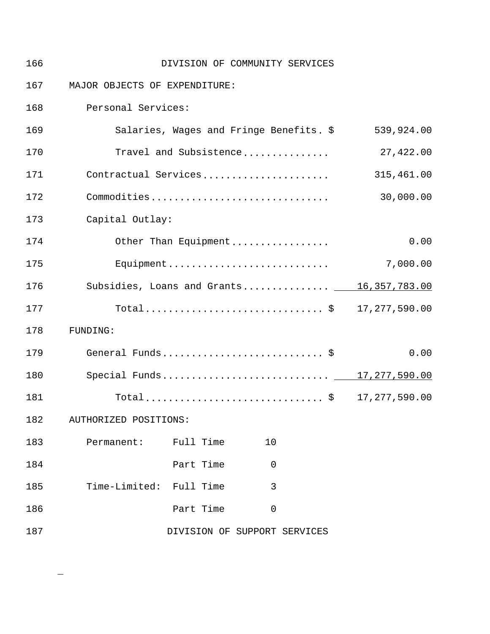| 166 |                               |           | DIVISION OF COMMUNITY SERVICES          |                                           |
|-----|-------------------------------|-----------|-----------------------------------------|-------------------------------------------|
| 167 | MAJOR OBJECTS OF EXPENDITURE: |           |                                         |                                           |
| 168 | Personal Services:            |           |                                         |                                           |
| 169 |                               |           | Salaries, Wages and Fringe Benefits. \$ | 539,924.00                                |
| 170 |                               |           | Travel and Subsistence                  | 27,422.00                                 |
| 171 |                               |           | Contractual Services                    | 315,461.00                                |
| 172 |                               |           | Commodities                             | 30,000.00                                 |
| 173 | Capital Outlay:               |           |                                         |                                           |
| 174 |                               |           | Other Than Equipment                    | 0.00                                      |
| 175 |                               |           | Equipment                               | 7,000.00                                  |
| 176 |                               |           |                                         | Subsidies, Loans and Grants 16,357,783.00 |
| 177 |                               |           |                                         | Total\$ 17,277,590.00                     |
| 178 | FUNDING:                      |           |                                         |                                           |
| 179 |                               |           | General Funds\$                         | 0.00                                      |
| 180 |                               |           |                                         | Special Funds 17,277,590.00               |
| 181 |                               |           | $Total$ \$                              | 17, 277, 590.00                           |
| 182 | AUTHORIZED POSITIONS:         |           |                                         |                                           |
| 183 | Permanent:                    | Full Time | 10                                      |                                           |
| 184 |                               | Part Time | $\overline{0}$                          |                                           |
| 185 | Time-Limited: Full Time       |           | 3                                       |                                           |
| 186 |                               | Part Time | $\overline{0}$                          |                                           |
| 187 |                               |           | DIVISION OF SUPPORT SERVICES            |                                           |

 $\qquad \qquad -$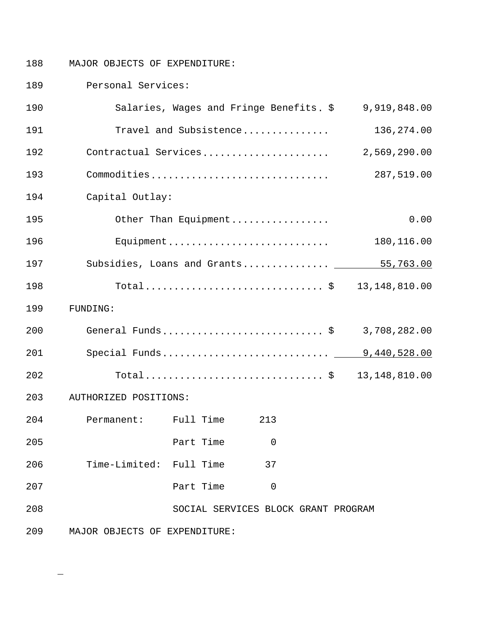$\overline{\phantom{0}}$ 

188 MAJOR OBJECTS OF EXPENDITURE:

189 Personal Services:

| 190 |                               | Salaries, Wages and Fringe Benefits. \$ |                                     | 9,919,848.00                          |
|-----|-------------------------------|-----------------------------------------|-------------------------------------|---------------------------------------|
| 191 |                               | Travel and Subsistence                  |                                     | 136, 274.00                           |
| 192 | Contractual Services          |                                         |                                     | 2,569,290.00                          |
| 193 | Commodities                   |                                         |                                     | 287,519.00                            |
| 194 | Capital Outlay:               |                                         |                                     |                                       |
| 195 |                               | Other Than Equipment                    |                                     | 0.00                                  |
| 196 |                               | Equipment                               |                                     | 180,116.00                            |
| 197 |                               |                                         |                                     | Subsidies, Loans and Grants 55,763.00 |
| 198 |                               |                                         |                                     | Total\$ 13,148,810.00                 |
| 199 | FUNDING:                      |                                         |                                     |                                       |
| 200 | General Funds\$               |                                         |                                     | 3,708,282.00                          |
| 201 |                               |                                         |                                     |                                       |
| 202 |                               |                                         |                                     | 13, 148, 810.00                       |
| 203 | AUTHORIZED POSITIONS:         |                                         |                                     |                                       |
| 204 | Permanent: Full Time          |                                         | 213                                 |                                       |
| 205 |                               | Part Time                               | $\overline{0}$                      |                                       |
| 206 | Time-Limited: Full Time       |                                         | 37                                  |                                       |
| 207 |                               | Part Time                               | 0                                   |                                       |
| 208 |                               |                                         | SOCIAL SERVICES BLOCK GRANT PROGRAM |                                       |
| 209 | MAJOR OBJECTS OF EXPENDITURE: |                                         |                                     |                                       |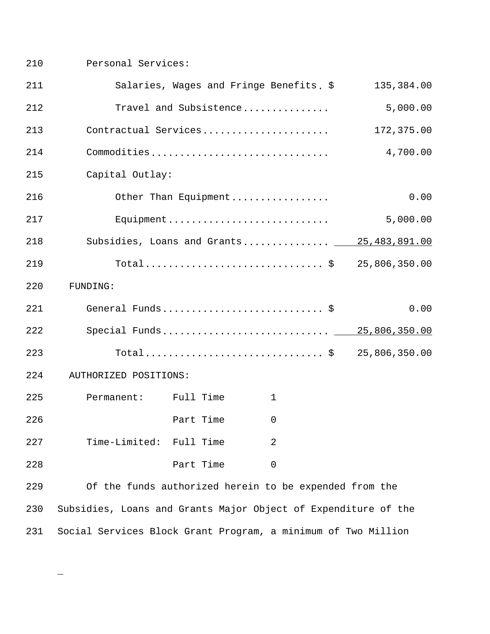210 Personal Services:

| 211 |                                                                |           | Salaries, Wages and Fringe Benefits. \$                | 135,384.00                                |
|-----|----------------------------------------------------------------|-----------|--------------------------------------------------------|-------------------------------------------|
| 212 |                                                                |           | Travel and Subsistence                                 | 5,000.00                                  |
| 213 |                                                                |           | Contractual Services                                   | 172,375.00                                |
| 214 |                                                                |           | Commodities                                            | 4,700.00                                  |
| 215 | Capital Outlay:                                                |           |                                                        |                                           |
| 216 |                                                                |           | Other Than Equipment                                   | 0.00                                      |
| 217 |                                                                |           | Equipment                                              | 5,000.00                                  |
| 218 |                                                                |           |                                                        | Subsidies, Loans and Grants 25,483,891.00 |
| 219 |                                                                |           |                                                        | Total\$ 25,806,350.00                     |
| 220 | FUNDING:                                                       |           |                                                        |                                           |
| 221 |                                                                |           | General Funds\$                                        | 0.00                                      |
| 222 |                                                                |           |                                                        | Special Funds 25,806,350.00               |
| 223 |                                                                |           |                                                        | Total\$ 25,806,350.00                     |
| 224 | AUTHORIZED POSITIONS:                                          |           |                                                        |                                           |
| 225 | Permanent: Full Time                                           |           | 1                                                      |                                           |
| 226 |                                                                | Part Time | 0                                                      |                                           |
| 227 | Time-Limited: Full Time                                        |           | 2                                                      |                                           |
| 228 |                                                                | Part Time | $\mathbf 0$                                            |                                           |
| 229 |                                                                |           | Of the funds authorized herein to be expended from the |                                           |
| 230 | Subsidies, Loans and Grants Major Object of Expenditure of the |           |                                                        |                                           |
| 231 | Social Services Block Grant Program, a minimum of Two Million  |           |                                                        |                                           |

 $\overline{\phantom{0}}$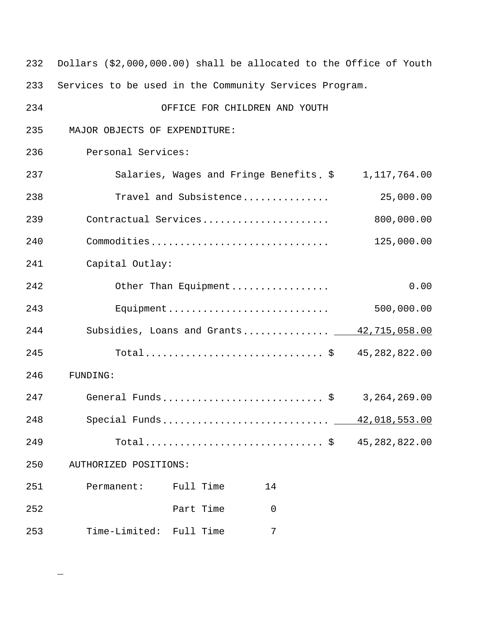| 232 | Dollars (\$2,000,000.00) shall be allocated to the Office of Youth |                |
|-----|--------------------------------------------------------------------|----------------|
| 233 | Services to be used in the Community Services Program.             |                |
| 234 | OFFICE FOR CHILDREN AND YOUTH                                      |                |
| 235 | MAJOR OBJECTS OF EXPENDITURE:                                      |                |
| 236 | Personal Services:                                                 |                |
| 237 | Salaries, Wages and Fringe Benefits. \$                            | 1,117,764.00   |
| 238 | Travel and Subsistence                                             | 25,000.00      |
| 239 | Contractual Services                                               | 800,000.00     |
| 240 | Commodities                                                        | 125,000.00     |
| 241 | Capital Outlay:                                                    |                |
| 242 | Other Than Equipment                                               | 0.00           |
| 243 | Equipment                                                          | 500,000.00     |
| 244 | Subsidies, Loans and Grants 42,715,058.00                          |                |
| 245 | Total\$ 45,282,822.00                                              |                |
| 246 | FUNDING:                                                           |                |
| 247 | General Funds \$                                                   | 3, 264, 269.00 |
| 248 | Special Funds                                                      | 42,018,553.00  |
| 249 |                                                                    | 45,282,822.00  |
| 250 | AUTHORIZED POSITIONS:                                              |                |
| 251 | Permanent:<br>Full Time<br>14                                      |                |
| 252 | Part Time<br>$\mathbf 0$                                           |                |
| 253 | Time-Limited: Full Time<br>7                                       |                |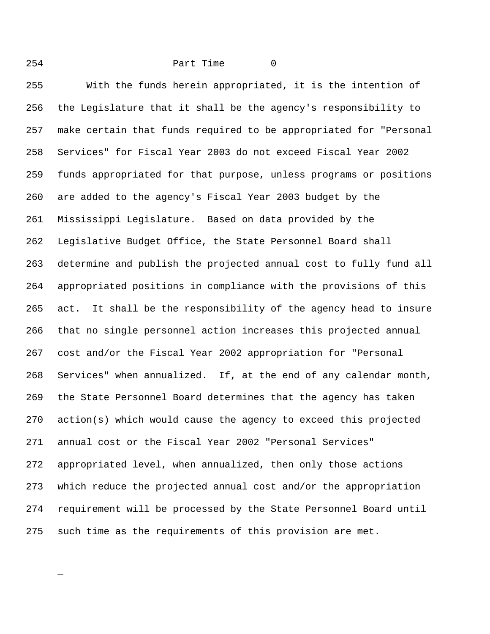254 Part Time 0 With the funds herein appropriated, it is the intention of the Legislature that it shall be the agency's responsibility to make certain that funds required to be appropriated for "Personal Services" for Fiscal Year 2003 do not exceed Fiscal Year 2002 funds appropriated for that purpose, unless programs or positions are added to the agency's Fiscal Year 2003 budget by the Mississippi Legislature. Based on data provided by the Legislative Budget Office, the State Personnel Board shall determine and publish the projected annual cost to fully fund all appropriated positions in compliance with the provisions of this act. It shall be the responsibility of the agency head to insure that no single personnel action increases this projected annual cost and/or the Fiscal Year 2002 appropriation for "Personal Services" when annualized. If, at the end of any calendar month, the State Personnel Board determines that the agency has taken action(s) which would cause the agency to exceed this projected annual cost or the Fiscal Year 2002 "Personal Services" appropriated level, when annualized, then only those actions which reduce the projected annual cost and/or the appropriation requirement will be processed by the State Personnel Board until such time as the requirements of this provision are met.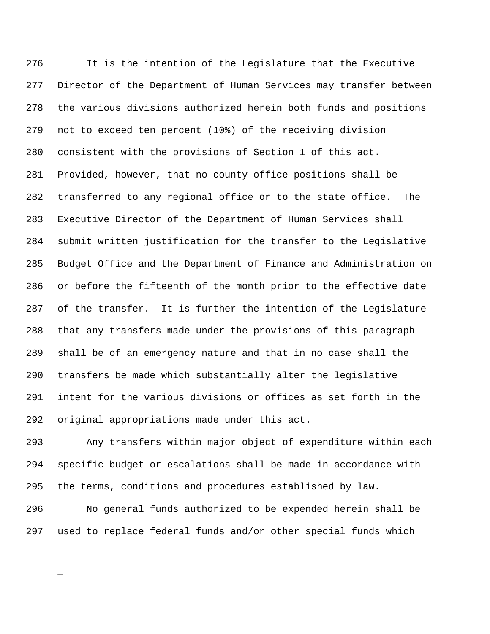It is the intention of the Legislature that the Executive Director of the Department of Human Services may transfer between the various divisions authorized herein both funds and positions not to exceed ten percent (10%) of the receiving division consistent with the provisions of Section 1 of this act. Provided, however, that no county office positions shall be transferred to any regional office or to the state office. The Executive Director of the Department of Human Services shall submit written justification for the transfer to the Legislative Budget Office and the Department of Finance and Administration on or before the fifteenth of the month prior to the effective date of the transfer. It is further the intention of the Legislature that any transfers made under the provisions of this paragraph shall be of an emergency nature and that in no case shall the transfers be made which substantially alter the legislative intent for the various divisions or offices as set forth in the original appropriations made under this act.

 Any transfers within major object of expenditure within each specific budget or escalations shall be made in accordance with the terms, conditions and procedures established by law.

 No general funds authorized to be expended herein shall be used to replace federal funds and/or other special funds which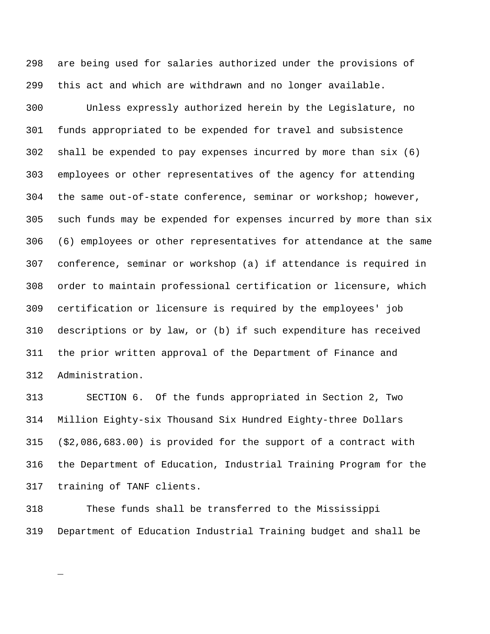are being used for salaries authorized under the provisions of this act and which are withdrawn and no longer available.

 Unless expressly authorized herein by the Legislature, no funds appropriated to be expended for travel and subsistence shall be expended to pay expenses incurred by more than six (6) employees or other representatives of the agency for attending the same out-of-state conference, seminar or workshop; however, such funds may be expended for expenses incurred by more than six (6) employees or other representatives for attendance at the same conference, seminar or workshop (a) if attendance is required in order to maintain professional certification or licensure, which certification or licensure is required by the employees' job descriptions or by law, or (b) if such expenditure has received the prior written approval of the Department of Finance and Administration.

 SECTION 6. Of the funds appropriated in Section 2, Two Million Eighty-six Thousand Six Hundred Eighty-three Dollars (\$2,086,683.00) is provided for the support of a contract with the Department of Education, Industrial Training Program for the training of TANF clients.

 These funds shall be transferred to the Mississippi Department of Education Industrial Training budget and shall be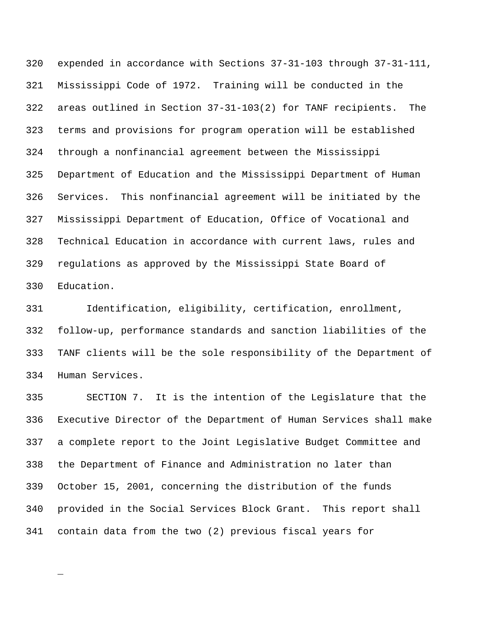expended in accordance with Sections 37-31-103 through 37-31-111, Mississippi Code of 1972. Training will be conducted in the areas outlined in Section 37-31-103(2) for TANF recipients. The terms and provisions for program operation will be established through a nonfinancial agreement between the Mississippi Department of Education and the Mississippi Department of Human Services. This nonfinancial agreement will be initiated by the Mississippi Department of Education, Office of Vocational and Technical Education in accordance with current laws, rules and regulations as approved by the Mississippi State Board of Education.

 Identification, eligibility, certification, enrollment, follow-up, performance standards and sanction liabilities of the TANF clients will be the sole responsibility of the Department of Human Services.

 SECTION 7. It is the intention of the Legislature that the Executive Director of the Department of Human Services shall make a complete report to the Joint Legislative Budget Committee and the Department of Finance and Administration no later than October 15, 2001, concerning the distribution of the funds provided in the Social Services Block Grant. This report shall contain data from the two (2) previous fiscal years for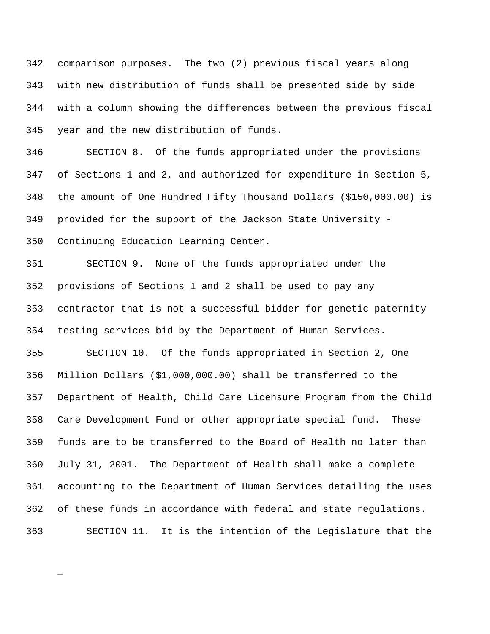comparison purposes. The two (2) previous fiscal years along with new distribution of funds shall be presented side by side with a column showing the differences between the previous fiscal year and the new distribution of funds.

 SECTION 8. Of the funds appropriated under the provisions of Sections 1 and 2, and authorized for expenditure in Section 5, the amount of One Hundred Fifty Thousand Dollars (\$150,000.00) is provided for the support of the Jackson State University - Continuing Education Learning Center.

 SECTION 9. None of the funds appropriated under the provisions of Sections 1 and 2 shall be used to pay any contractor that is not a successful bidder for genetic paternity testing services bid by the Department of Human Services.

 SECTION 10. Of the funds appropriated in Section 2, One Million Dollars (\$1,000,000.00) shall be transferred to the Department of Health, Child Care Licensure Program from the Child Care Development Fund or other appropriate special fund. These funds are to be transferred to the Board of Health no later than July 31, 2001. The Department of Health shall make a complete accounting to the Department of Human Services detailing the uses of these funds in accordance with federal and state regulations. SECTION 11. It is the intention of the Legislature that the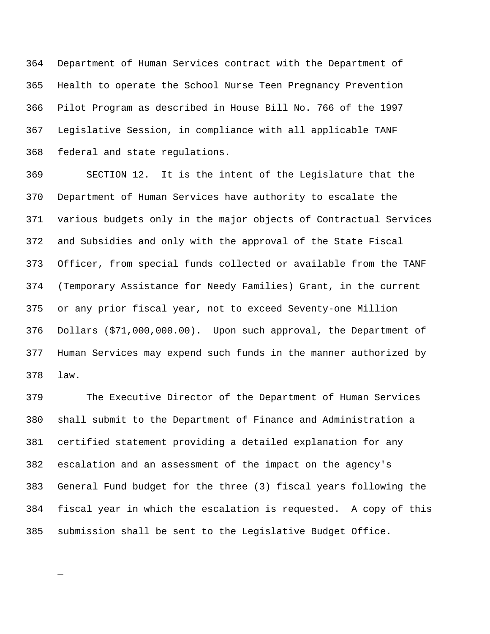Department of Human Services contract with the Department of Health to operate the School Nurse Teen Pregnancy Prevention Pilot Program as described in House Bill No. 766 of the 1997 Legislative Session, in compliance with all applicable TANF federal and state regulations.

 SECTION 12. It is the intent of the Legislature that the Department of Human Services have authority to escalate the various budgets only in the major objects of Contractual Services and Subsidies and only with the approval of the State Fiscal Officer, from special funds collected or available from the TANF (Temporary Assistance for Needy Families) Grant, in the current or any prior fiscal year, not to exceed Seventy-one Million Dollars (\$71,000,000.00). Upon such approval, the Department of Human Services may expend such funds in the manner authorized by law.

 The Executive Director of the Department of Human Services shall submit to the Department of Finance and Administration a certified statement providing a detailed explanation for any escalation and an assessment of the impact on the agency's General Fund budget for the three (3) fiscal years following the fiscal year in which the escalation is requested. A copy of this submission shall be sent to the Legislative Budget Office.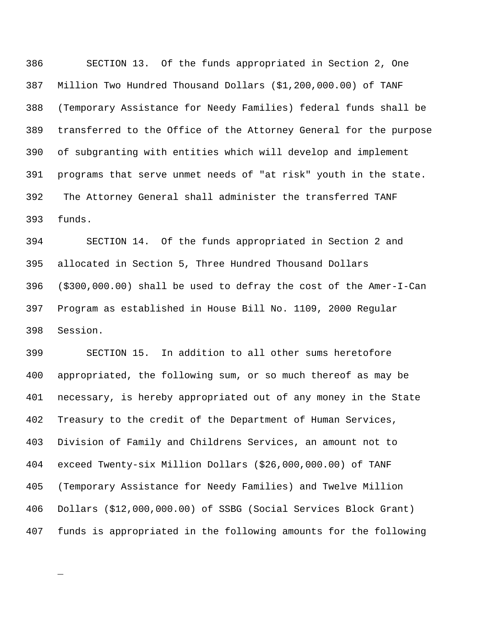SECTION 13. Of the funds appropriated in Section 2, One Million Two Hundred Thousand Dollars (\$1,200,000.00) of TANF (Temporary Assistance for Needy Families) federal funds shall be transferred to the Office of the Attorney General for the purpose of subgranting with entities which will develop and implement programs that serve unmet needs of "at risk" youth in the state. 392 The Attorney General shall administer the transferred TANF funds.

 SECTION 14. Of the funds appropriated in Section 2 and allocated in Section 5, Three Hundred Thousand Dollars (\$300,000.00) shall be used to defray the cost of the Amer-I-Can Program as established in House Bill No. 1109, 2000 Regular Session.

 SECTION 15. In addition to all other sums heretofore appropriated, the following sum, or so much thereof as may be necessary, is hereby appropriated out of any money in the State Treasury to the credit of the Department of Human Services, Division of Family and Childrens Services, an amount not to exceed Twenty-six Million Dollars (\$26,000,000.00) of TANF (Temporary Assistance for Needy Families) and Twelve Million Dollars (\$12,000,000.00) of SSBG (Social Services Block Grant) funds is appropriated in the following amounts for the following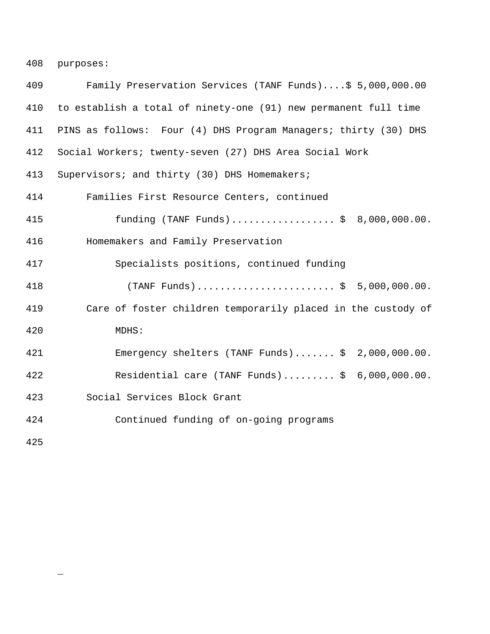408 purposes:

| 409                  | Family Preservation Services (TANF Funds)\$ 5,000,000.00        |
|----------------------|-----------------------------------------------------------------|
| 410                  | to establish a total of ninety-one (91) new permanent full time |
| 411                  | PINS as follows: Four (4) DHS Program Managers; thirty (30) DHS |
| 412                  | Social Workers; twenty-seven (27) DHS Area Social Work          |
| 413                  | Supervisors; and thirty (30) DHS Homemakers;                    |
| 414                  | Families First Resource Centers, continued                      |
| 415                  | funding (TANF Funds)\$ 8,000,000.00.                            |
| 416                  | Homemakers and Family Preservation                              |
| 417                  | Specialists positions, continued funding                        |
| 418                  | $(TANF$ Funds)\$ 5,000,000.00.                                  |
| 419                  | Care of foster children temporarily placed in the custody of    |
| 420                  | MDHS:                                                           |
| 421                  | Emergency shelters (TANF Funds) $$2,000,000.00$ .               |
| 422                  | Residential care (TANF Funds) $$ 6,000,000.00.$                 |
| 423                  | Social Services Block Grant                                     |
| 424                  | Continued funding of on-going programs                          |
| $\sim$ $\sim$ $\sim$ |                                                                 |

425

 $\equiv$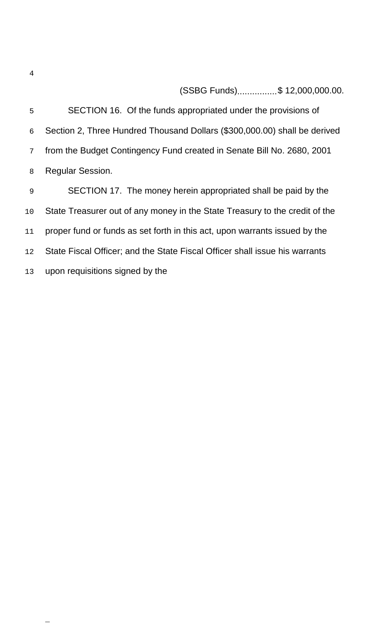(SSBG Funds)................\$ 12,000,000.00.

| 5  | SECTION 16. Of the funds appropriated under the provisions of               |
|----|-----------------------------------------------------------------------------|
| 6  | Section 2, Three Hundred Thousand Dollars (\$300,000.00) shall be derived   |
| 7  | from the Budget Contingency Fund created in Senate Bill No. 2680, 2001      |
| 8  | <b>Regular Session.</b>                                                     |
| 9  | SECTION 17. The money herein appropriated shall be paid by the              |
| 10 | State Treasurer out of any money in the State Treasury to the credit of the |
| 11 | proper fund or funds as set forth in this act, upon warrants issued by the  |
| 12 | State Fiscal Officer; and the State Fiscal Officer shall issue his warrants |
| 13 | upon requisitions signed by the                                             |

 $\overline{\phantom{0}}$